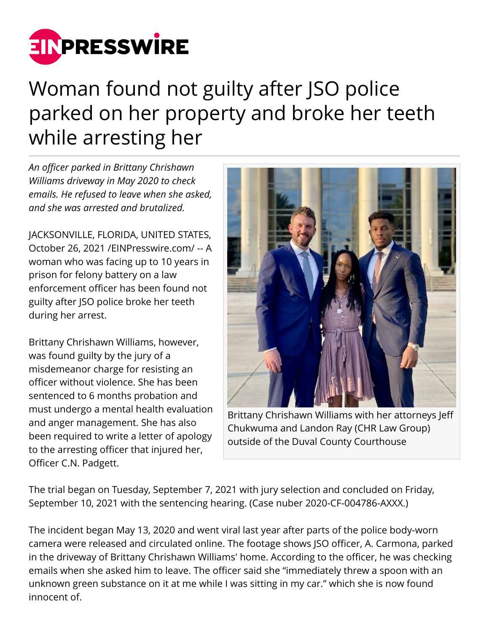

## Woman found not guilty after JSO police parked on her property and broke her teeth while arresting her

*An officer parked in Brittany Chrishawn Williams driveway in May 2020 to check emails. He refused to leave when she asked, and she was arrested and brutalized.*

JACKSONVILLE, FLORIDA, UNITED STATES, October 26, 2021 [/EINPresswire.com](http://www.einpresswire.com)/ -- A woman who was facing up to 10 years in prison for felony battery on a law enforcement officer has been found not guilty after JSO police broke her teeth during her arrest.

Brittany Chrishawn Williams, however, was found guilty by the jury of a misdemeanor charge for resisting an officer without violence. She has been sentenced to 6 months probation and must undergo a mental health evaluation and anger management. She has also been required to write a letter of apology to the arresting officer that injured her, Officer C.N. Padgett.



Brittany Chrishawn Williams with her attorneys Jeff Chukwuma and Landon Ray (CHR Law Group) outside of the Duval County Courthouse

The trial began on Tuesday, September 7, 2021 with jury selection and concluded on Friday, September 10, 2021 with the sentencing hearing. (Case nuber 2020-CF-004786-AXXX.)

The incident began May 13, 2020 and went viral last year after parts of the police body-worn camera were released and circulated online. The footage shows JSO officer, A. Carmona, parked in the driveway of Brittany Chrishawn Williams' home. According to the officer, he was checking emails when she asked him to leave. The officer said she "immediately threw a spoon with an unknown green substance on it at me while I was sitting in my car." which she is now found innocent of.